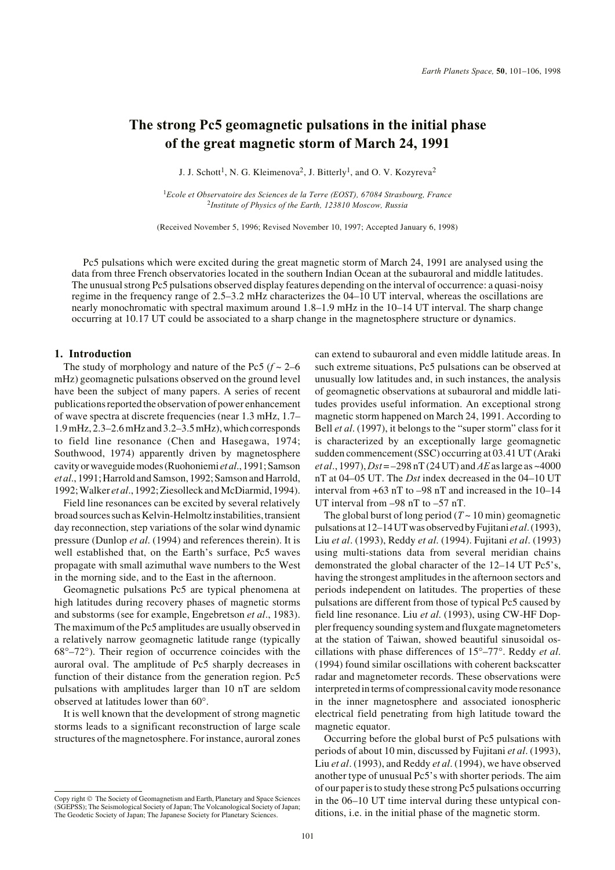# **The strong Pc5 geomagnetic pulsations in the initial phase of the great magnetic storm of March 24, 1991**

J. J. Schott<sup>1</sup>, N. G. Kleimenova<sup>2</sup>, J. Bitterly<sup>1</sup>, and O. V. Kozyreva<sup>2</sup>

<sup>1</sup>*Ecole et Observatoire des Sciences de la Terre (EOST), 67084 Strasbourg, France* <sup>2</sup>*Institute of Physics of the Earth, 123810 Moscow, Russia*

(Received November 5, 1996; Revised November 10, 1997; Accepted January 6, 1998)

Pc5 pulsations which were excited during the great magnetic storm of March 24, 1991 are analysed using the data from three French observatories located in the southern Indian Ocean at the subauroral and middle latitudes. The unusual strong Pc5 pulsations observed display features depending on the interval of occurrence: a quasi-noisy regime in the frequency range of 2.5–3.2 mHz characterizes the 04–10 UT interval, whereas the oscillations are nearly monochromatic with spectral maximum around 1.8–1.9 mHz in the 10–14 UT interval. The sharp change occurring at 10.17 UT could be associated to a sharp change in the magnetosphere structure or dynamics.

## **1. Introduction**

The study of morphology and nature of the Pc5  $(f \sim 2-6$ mHz) geomagnetic pulsations observed on the ground level have been the subject of many papers. A series of recent publications reported the observation of power enhancement of wave spectra at discrete frequencies (near 1.3 mHz, 1.7– 1.9 mHz, 2.3–2.6 mHz and 3.2–3.5 mHz), which corresponds to field line resonance (Chen and Hasegawa, 1974; Southwood, 1974) apparently driven by magnetosphere cavity or waveguide modes (Ruohoniemi *et al*., 1991; Samson *et al*., 1991; Harrold and Samson, 1992; Samson and Harrold, 1992; Walker *et al*., 1992; Ziesolleck and McDiarmid, 1994).

Field line resonances can be excited by several relatively broad sources such as Kelvin-Helmoltz instabilities, transient day reconnection, step variations of the solar wind dynamic pressure (Dunlop *et al*. (1994) and references therein). It is well established that, on the Earth's surface, Pc5 waves propagate with small azimuthal wave numbers to the West in the morning side, and to the East in the afternoon.

Geomagnetic pulsations Pc5 are typical phenomena at high latitudes during recovery phases of magnetic storms and substorms (see for example, Engebretson *et al*., 1983). The maximum of the Pc5 amplitudes are usually observed in a relatively narrow geomagnetic latitude range (typically 68°–72°). Their region of occurrence coincides with the auroral oval. The amplitude of Pc5 sharply decreases in function of their distance from the generation region. Pc5 pulsations with amplitudes larger than 10 nT are seldom observed at latitudes lower than 60°.

It is well known that the development of strong magnetic storms leads to a significant reconstruction of large scale structures of the magnetosphere. For instance, auroral zones

can extend to subauroral and even middle latitude areas. In such extreme situations, Pc5 pulsations can be observed at unusually low latitudes and, in such instances, the analysis of geomagnetic observations at subauroral and middle latitudes provides useful information. An exceptional strong magnetic storm happened on March 24, 1991. According to Bell *et al*. (1997), it belongs to the "super storm" class for it is characterized by an exceptionally large geomagnetic sudden commencement (SSC) occurring at 03.41 UT (Araki *et al*., 1997), *Dst* = –298 nT (24 UT) and *AE* as large as ~4000 nT at 04–05 UT. The *Dst* index decreased in the 04–10 UT interval from +63 nT to –98 nT and increased in the 10–14 UT interval from –98 nT to –57 nT.

The global burst of long period  $(T \sim 10 \text{ min})$  geomagnetic pulsations at 12–14 UT was observed by Fujitani *et al*. (1993), Liu *et al*. (1993), Reddy *et al*. (1994). Fujitani *et al*. (1993) using multi-stations data from several meridian chains demonstrated the global character of the 12–14 UT Pc5's, having the strongest amplitudes in the afternoon sectors and periods independent on latitudes. The properties of these pulsations are different from those of typical Pc5 caused by field line resonance. Liu *et al*. (1993), using CW-HF Doppler frequency sounding system and fluxgate magnetometers at the station of Taiwan, showed beautiful sinusoidal oscillations with phase differences of 15°–77°. Reddy *et al*. (1994) found similar oscillations with coherent backscatter radar and magnetometer records. These observations were interpreted in terms of compressional cavity mode resonance in the inner magnetosphere and associated ionospheric electrical field penetrating from high latitude toward the magnetic equator.

Occurring before the global burst of Pc5 pulsations with periods of about 10 min, discussed by Fujitani *et al*. (1993), Liu *et al*. (1993), and Reddy *et al*. (1994), we have observed another type of unusual Pc5's with shorter periods. The aim of our paper is to study these strong Pc5 pulsations occurring in the 06–10 UT time interval during these untypical conditions, i.e. in the initial phase of the magnetic storm.

Copy right © The Society of Geomagnetism and Earth, Planetary and Space Sciences (SGEPSS); The Seismological Society of Japan; The Volcanological Society of Japan; The Geodetic Society of Japan; The Japanese Society for Planetary Sciences.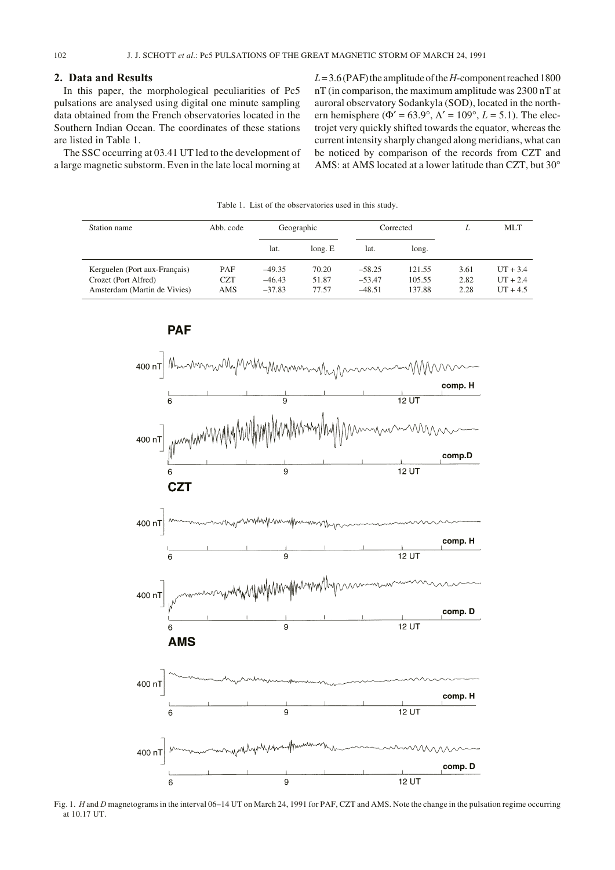## **2. Data and Results**

In this paper, the morphological peculiarities of Pc5 pulsations are analysed using digital one minute sampling data obtained from the French observatories located in the Southern Indian Ocean. The coordinates of these stations are listed in Table 1.

The SSC occurring at 03.41 UT led to the development of a large magnetic substorm. Even in the late local morning at  $L = 3.6$  (PAF) the amplitude of the *H*-component reached 1800 nT (in comparison, the maximum amplitude was 2300 nT at auroral observatory Sodankyla (SOD), located in the northern hemisphere ( $\Phi' = 63.9^\circ$ ,  $\Lambda' = 109^\circ$ ,  $L = 5.1$ ). The electrojet very quickly shifted towards the equator, whereas the current intensity sharply changed along meridians, what can be noticed by comparison of the records from CZT and AMS: at AMS located at a lower latitude than CZT, but 30°

Table 1. List of the observatories used in this study.

| Station name                                                                          | Abb. code                | Geographic                       |                         | Corrected                        |                            |                      | <b>MLT</b>                             |
|---------------------------------------------------------------------------------------|--------------------------|----------------------------------|-------------------------|----------------------------------|----------------------------|----------------------|----------------------------------------|
|                                                                                       |                          | lat.                             | long. E                 | lat.                             | long.                      |                      |                                        |
| Kerguelen (Port aux-Français)<br>Crozet (Port Alfred)<br>Amsterdam (Martin de Vivies) | PAF<br><b>CZT</b><br>AMS | $-49.35$<br>$-46.43$<br>$-37.83$ | 70.20<br>51.87<br>77.57 | $-58.25$<br>$-53.47$<br>$-48.51$ | 121.55<br>105.55<br>137.88 | 3.61<br>2.82<br>2.28 | $UT + 3.4$<br>$UT + 2.4$<br>$UT + 4.5$ |



**PAF** 

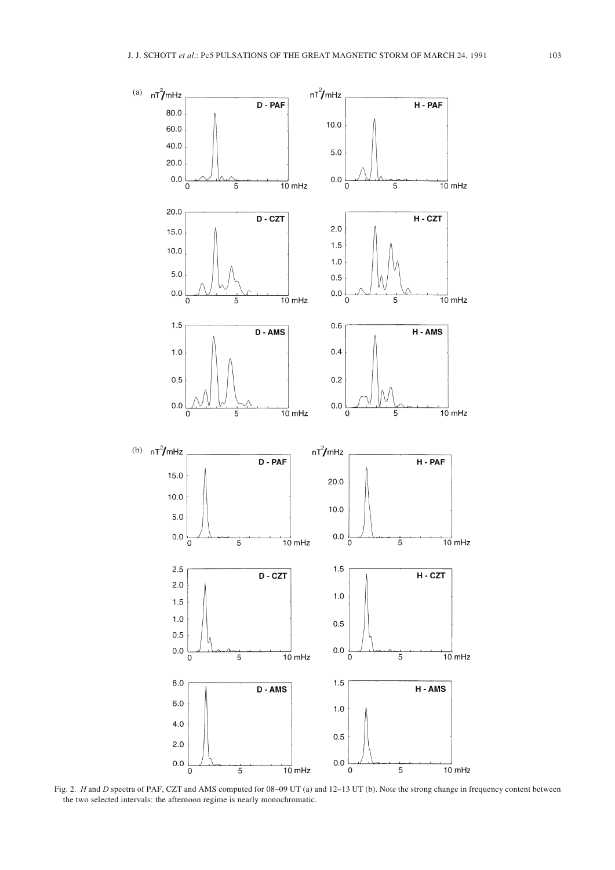

Fig. 2. *H* and *D* spectra of PAF, CZT and AMS computed for 08–09 UT (a) and 12–13 UT (b). Note the strong change in frequency content between the two selected intervals: the afternoon regime is nearly monochromatic.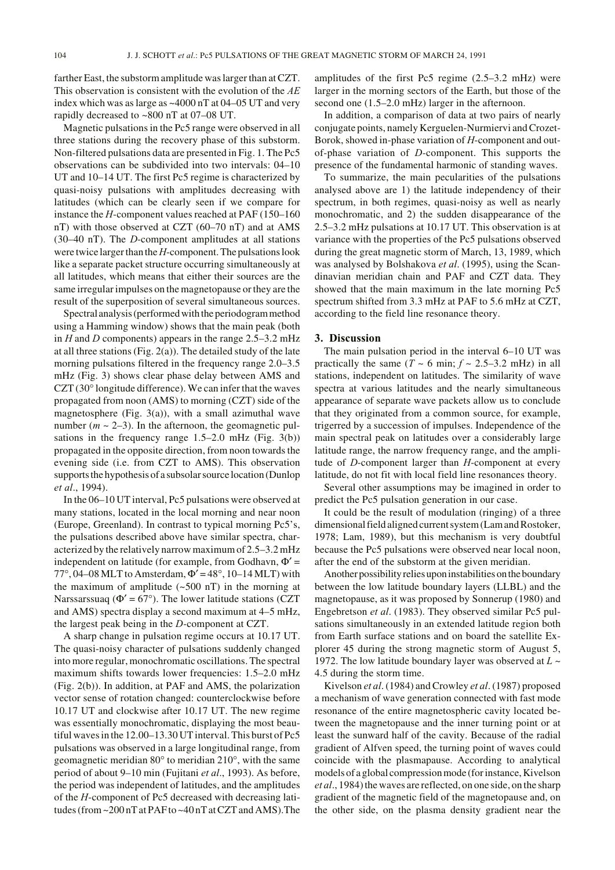farther East, the substorm amplitude was larger than at CZT. This observation is consistent with the evolution of the *AE* index which was as large as ~4000 nT at 04–05 UT and very rapidly decreased to ~800 nT at 07–08 UT.

Magnetic pulsations in the Pc5 range were observed in all three stations during the recovery phase of this substorm. Non-filtered pulsations data are presented in Fig. 1. The Pc5 observations can be subdivided into two intervals: 04–10 UT and 10–14 UT. The first Pc5 regime is characterized by quasi-noisy pulsations with amplitudes decreasing with latitudes (which can be clearly seen if we compare for instance the *H*-component values reached at PAF (150–160 nT) with those observed at CZT (60–70 nT) and at AMS (30–40 nT). The *D*-component amplitudes at all stations were twice larger than the *H*-component. The pulsations look like a separate packet structure occurring simultaneously at all latitudes, which means that either their sources are the same irregular impulses on the magnetopause or they are the result of the superposition of several simultaneous sources.

Spectral analysis (performed with the periodogram method using a Hamming window) shows that the main peak (both in *H* and *D* components) appears in the range 2.5–3.2 mHz at all three stations (Fig. 2(a)). The detailed study of the late morning pulsations filtered in the frequency range 2.0–3.5 mHz (Fig. 3) shows clear phase delay between AMS and CZT (30° longitude difference). We can infer that the waves propagated from noon (AMS) to morning (CZT) side of the magnetosphere (Fig. 3(a)), with a small azimuthal wave number  $(m \sim 2-3)$ . In the afternoon, the geomagnetic pulsations in the frequency range 1.5–2.0 mHz (Fig. 3(b)) propagated in the opposite direction, from noon towards the evening side (i.e. from CZT to AMS). This observation supports the hypothesis of a subsolar source location (Dunlop *et al*., 1994).

In the 06–10 UT interval, Pc5 pulsations were observed at many stations, located in the local morning and near noon (Europe, Greenland). In contrast to typical morning Pc5's, the pulsations described above have similar spectra, characterized by the relatively narrow maximum of 2.5–3.2 mHz independent on latitude (for example, from Godhavn,  $\Phi'$  = 77°, 04–08 MLT to Amsterdam,  $\Phi' = 48^\circ$ , 10–14 MLT) with the maximum of amplitude  $(\sim 500 \text{ nT})$  in the morning at Narssarssuaq ( $\Phi' = 67^{\circ}$ ). The lower latitude stations (CZT and AMS) spectra display a second maximum at 4–5 mHz, the largest peak being in the *D*-component at CZT.

A sharp change in pulsation regime occurs at 10.17 UT. The quasi-noisy character of pulsations suddenly changed into more regular, monochromatic oscillations. The spectral maximum shifts towards lower frequencies: 1.5–2.0 mHz (Fig. 2(b)). In addition, at PAF and AMS, the polarization vector sense of rotation changed: counterclockwise before 10.17 UT and clockwise after 10.17 UT. The new regime was essentially monochromatic, displaying the most beautiful waves in the 12.00–13.30 UT interval. This burst of Pc5 pulsations was observed in a large longitudinal range, from geomagnetic meridian 80° to meridian 210°, with the same period of about 9–10 min (Fujitani *et al*., 1993). As before, the period was independent of latitudes, and the amplitudes of the *H*-component of Pc5 decreased with decreasing latitudes (from ~200 nT at PAF to ~40 nT at CZT and AMS).The

amplitudes of the first Pc5 regime (2.5–3.2 mHz) were larger in the morning sectors of the Earth, but those of the second one (1.5–2.0 mHz) larger in the afternoon.

In addition, a comparison of data at two pairs of nearly conjugate points, namely Kerguelen-Nurmiervi and Crozet-Borok, showed in-phase variation of *H*-component and outof-phase variation of *D*-component. This supports the presence of the fundamental harmonic of standing waves.

To summarize, the main pecularities of the pulsations analysed above are 1) the latitude independency of their spectrum, in both regimes, quasi-noisy as well as nearly monochromatic, and 2) the sudden disappearance of the 2.5–3.2 mHz pulsations at 10.17 UT. This observation is at variance with the properties of the Pc5 pulsations observed during the great magnetic storm of March, 13, 1989, which was analysed by Bolshakova *et al*. (1995), using the Scandinavian meridian chain and PAF and CZT data. They showed that the main maximum in the late morning Pc5 spectrum shifted from 3.3 mHz at PAF to 5.6 mHz at CZT, according to the field line resonance theory.

### **3. Discussion**

The main pulsation period in the interval 6–10 UT was practically the same ( $T \sim 6$  min;  $f \sim 2.5 - 3.2$  mHz) in all stations, independent on latitudes. The similarity of wave spectra at various latitudes and the nearly simultaneous appearance of separate wave packets allow us to conclude that they originated from a common source, for example, trigerred by a succession of impulses. Independence of the main spectral peak on latitudes over a considerably large latitude range, the narrow frequency range, and the amplitude of *D*-component larger than *H*-component at every latitude, do not fit with local field line resonances theory.

Several other assumptions may be imagined in order to predict the Pc5 pulsation generation in our case.

It could be the result of modulation (ringing) of a three dimensional field aligned current system (Lam and Rostoker, 1978; Lam, 1989), but this mechanism is very doubtful because the Pc5 pulsations were observed near local noon, after the end of the substorm at the given meridian.

Another possibility relies upon instabilities on the boundary between the low latitude boundary layers (LLBL) and the magnetopause, as it was proposed by Sonnerup (1980) and Engebretson *et al*. (1983). They observed similar Pc5 pulsations simultaneously in an extended latitude region both from Earth surface stations and on board the satellite Explorer 45 during the strong magnetic storm of August 5, 1972. The low latitude boundary layer was observed at *L* ~ 4.5 during the storm time.

Kivelson *et al*. (1984) and Crowley *et al*. (1987) proposed a mechanism of wave generation connected with fast mode resonance of the entire magnetospheric cavity located between the magnetopause and the inner turning point or at least the sunward half of the cavity. Because of the radial gradient of Alfven speed, the turning point of waves could coincide with the plasmapause. According to analytical models of a global compression mode (for instance, Kivelson *et al*., 1984) the waves are reflected, on one side, on the sharp gradient of the magnetic field of the magnetopause and, on the other side, on the plasma density gradient near the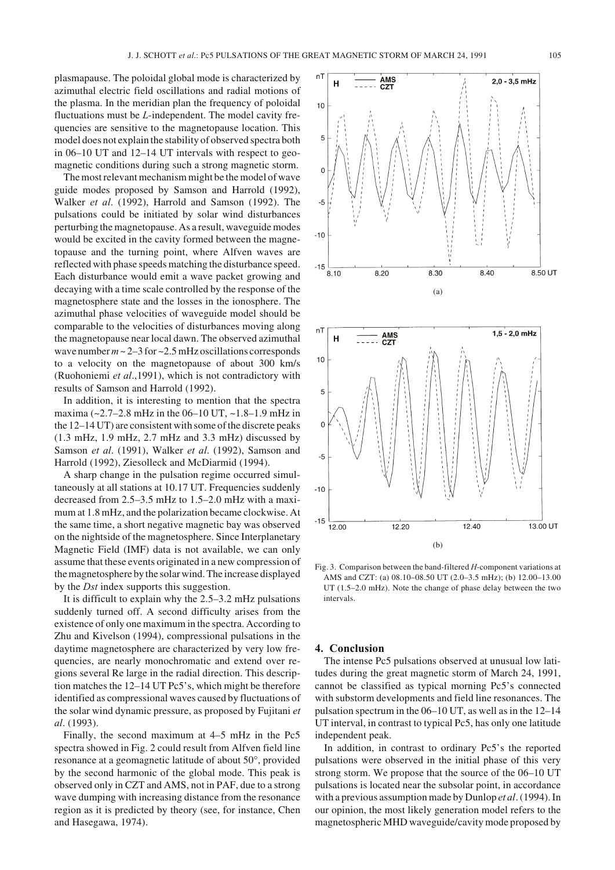plasmapause. The poloidal global mode is characterized by azimuthal electric field oscillations and radial motions of the plasma. In the meridian plan the frequency of poloidal fluctuations must be *L*-independent. The model cavity frequencies are sensitive to the magnetopause location. This model does not explain the stability of observed spectra both in 06–10 UT and 12–14 UT intervals with respect to geomagnetic conditions during such a strong magnetic storm.

The most relevant mechanism might be the model of wave guide modes proposed by Samson and Harrold (1992), Walker *et al*. (1992), Harrold and Samson (1992). The pulsations could be initiated by solar wind disturbances perturbing the magnetopause. As a result, waveguide modes would be excited in the cavity formed between the magnetopause and the turning point, where Alfven waves are reflected with phase speeds matching the disturbance speed. Each disturbance would emit a wave packet growing and decaying with a time scale controlled by the response of the magnetosphere state and the losses in the ionosphere. The azimuthal phase velocities of waveguide model should be comparable to the velocities of disturbances moving along the magnetopause near local dawn. The observed azimuthal wave number  $m \sim 2-3$  for  $\sim 2.5$  mHz oscillations corresponds to a velocity on the magnetopause of about 300 km/s (Ruohoniemi *et al*.,1991), which is not contradictory with results of Samson and Harrold (1992).

In addition, it is interesting to mention that the spectra maxima (~2.7–2.8 mHz in the 06–10 UT, ~1.8–1.9 mHz in the 12–14 UT) are consistent with some of the discrete peaks (1.3 mHz, 1.9 mHz, 2.7 mHz and 3.3 mHz) discussed by Samson *et al*. (1991), Walker *et al*. (1992), Samson and Harrold (1992), Ziesolleck and McDiarmid (1994).

A sharp change in the pulsation regime occurred simultaneously at all stations at 10.17 UT. Frequencies suddenly decreased from 2.5–3.5 mHz to 1.5–2.0 mHz with a maximum at 1.8 mHz, and the polarization became clockwise. At the same time, a short negative magnetic bay was observed on the nightside of the magnetosphere. Since Interplanetary Magnetic Field (IMF) data is not available, we can only assume that these events originated in a new compression of the magnetosphere by the solar wind. The increase displayed by the *Dst* index supports this suggestion.

It is difficult to explain why the 2.5–3.2 mHz pulsations suddenly turned off. A second difficulty arises from the existence of only one maximum in the spectra. According to Zhu and Kivelson (1994), compressional pulsations in the daytime magnetosphere are characterized by very low frequencies, are nearly monochromatic and extend over regions several Re large in the radial direction. This description matches the 12–14 UT Pc5's, which might be therefore identified as compressional waves caused by fluctuations of the solar wind dynamic pressure, as proposed by Fujitani *et al*. (1993).

Finally, the second maximum at 4–5 mHz in the Pc5 spectra showed in Fig. 2 could result from Alfven field line resonance at a geomagnetic latitude of about 50°, provided by the second harmonic of the global mode. This peak is observed only in CZT and AMS, not in PAF, due to a strong wave dumping with increasing distance from the resonance region as it is predicted by theory (see, for instance, Chen and Hasegawa, 1974).





Fig. 3. Comparison between the band-filtered *H*-component variations at AMS and CZT: (a) 08.10–08.50 UT (2.0–3.5 mHz); (b) 12.00–13.00 UT (1.5–2.0 mHz). Note the change of phase delay between the two intervals.

## **4. Conclusion**

The intense Pc5 pulsations observed at unusual low latitudes during the great magnetic storm of March 24, 1991, cannot be classified as typical morning Pc5's connected with substorm developments and field line resonances. The pulsation spectrum in the 06–10 UT, as well as in the 12–14 UT interval, in contrast to typical Pc5, has only one latitude independent peak.

In addition, in contrast to ordinary Pc5's the reported pulsations were observed in the initial phase of this very strong storm. We propose that the source of the 06–10 UT pulsations is located near the subsolar point, in accordance with a previous assumption made by Dunlop *et al*. (1994). In our opinion, the most likely generation model refers to the magnetospheric MHD waveguide/cavity mode proposed by